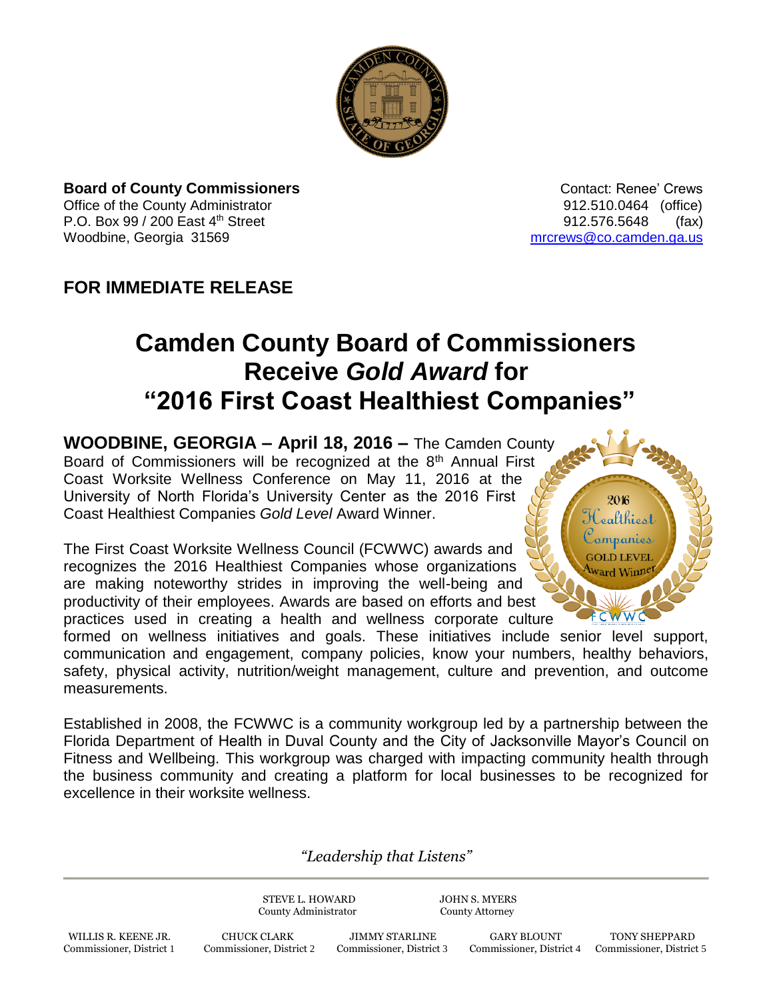

**Board of County Commissioners Contact: Renee' Crews Contact: Renee' Crews** Office of the County Administrator 912.510.0464 (office) P.O. Box 99 / 200 East 4<sup>th</sup> Street 912.576.5648 (fax) Woodbine, Georgia 31569 [mrcrews@co.camden.ga.us](mailto:mrcrews@co.camden.ga.us)

## **FOR IMMEDIATE RELEASE**

## **Camden County Board of Commissioners Receive** *Gold Award* **for "2016 First Coast Healthiest Companies"**

**WOODBINE, GEORGIA – April 18, 2016 –** The Camden County Board of Commissioners will be recognized at the 8<sup>th</sup> Annual First Coast Worksite Wellness Conference on May 11, 2016 at the University of North Florida's University Center as the 2016 First Coast Healthiest Companies *Gold Level* Award Winner.

The First Coast Worksite Wellness Council (FCWWC) awards and recognizes the 2016 Healthiest Companies whose organizations are making noteworthy strides in improving the well-being and productivity of their employees. Awards are based on efforts and best practices used in creating a health and wellness corporate culture



formed on wellness initiatives and goals. These initiatives include senior level support, communication and engagement, company policies, know your numbers, healthy behaviors, safety, physical activity, nutrition/weight management, culture and prevention, and outcome measurements.

Established in 2008, the FCWWC is a community workgroup led by a partnership between the Florida Department of Health in Duval County and the City of Jacksonville Mayor's Council on Fitness and Wellbeing. This workgroup was charged with impacting community health through the business community and creating a platform for local businesses to be recognized for excellence in their worksite wellness.

*"Leadership that Listens"*

STEVE L. HOWARD JOHN S. MYERS County Administrator County Attorney

WILLIS R. KEENE JR. CHUCK CLARK JIMMY STARLINE GARY BLOUNT TONY SHEPPARD